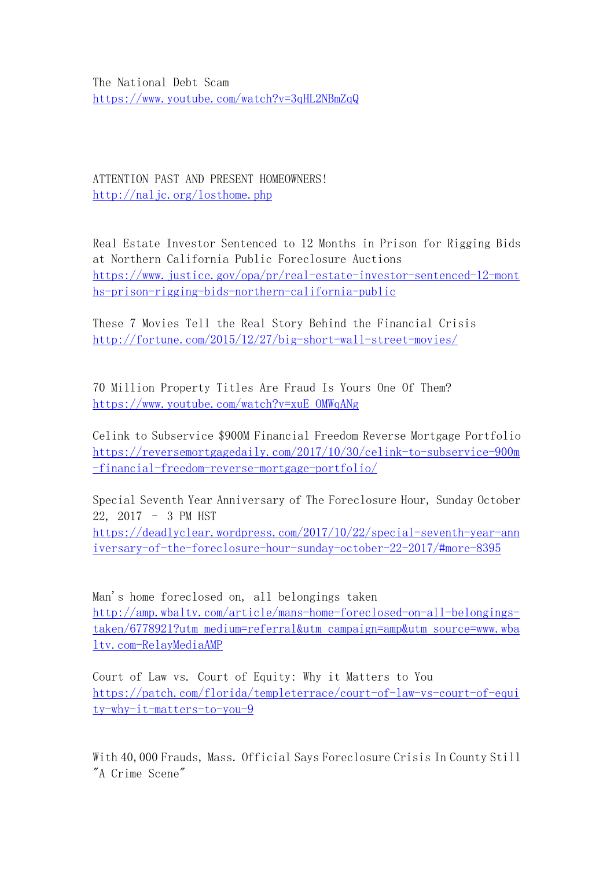The National Debt Scam <https://www.youtube.com/watch?v=3qHL2NBmZqQ>

ATTENTION PAST AND PRESENT HOMEOWNERS! <http://naljc.org/losthome.php>

Real Estate Investor Sentenced to 12 Months in Prison for Rigging Bids at Northern California Public Foreclosure Auctions [https://www.justice.gov/opa/pr/real-estate-investor-sentenced-12-mont](https://www.justice.gov/opa/pr/real-estate-investor-sentenced-12-months-prison-rigging-bids-northern-california-public) hs-prison-rigging-bids-northern-california-public

These 7 Movies Tell the Real Story Behind the Financial Crisis <http://fortune.com/2015/12/27/big-short-wall-street-movies/>

70 Million Property Titles Are Fraud Is Yours One Of Them? [https://www.youtube.com/watch?v=xuE\\_OMWqANg](https://www.youtube.com/watch?v=xuE_OMWqANg)

Celink to Subservice \$900M Financial Freedom Reverse Mortgage Portfolio [https://reversemortgagedaily.com/2017/10/30/celink-to-subservice-900m](https://reversemortgagedaily.com/2017/10/30/celink-to-subservice-900m-financial-freedom-reverse-mortgage-portfolio/) -financial-freedom-reverse-mortgage-portfolio/

Special Seventh Year Anniversary of The Foreclosure Hour, Sunday October 22, 2017 – 3 PM HST [https://deadlyclear.wordpress.com/2017/10/22/special-seventh-year-ann](https://deadlyclear.wordpress.com/2017/10/22/special-seventh-year-anniversary-of-the-foreclosure-hour-sunday-october-22-2017/)

iversary-of-the-foreclosure-hour-sunday-october-22-2017/#more-8395

Man's home foreclosed on, all belongings taken [http://amp.wbaltv.com/article/mans-home-foreclosed-on-all-belongings](http://amp.wbaltv.com/article/mans-home-foreclosed-on-all-belongings-taken/6778921?utm_medium=referral&utm_campaign=amp&utm_source=www.wbaltv.com-RelayMediaAMP)taken/6778921?utm\_medium=referral&utm\_campaign=amp&utm\_source=www.wba ltv.com-RelayMediaAMP

Court of Law vs. Court of Equity: Why it Matters to You [https://patch.com/florida/templeterrace/court-of-law-vs-court-of-equi](https://patch.com/florida/templeterrace/court-of-law-vs-court-of-equity-why-it-matters-to-you-9) ty-why-it-matters-to-you-9

With 40,000 Frauds, Mass. Official Says Foreclosure Crisis In County Still "A Crime Scene"